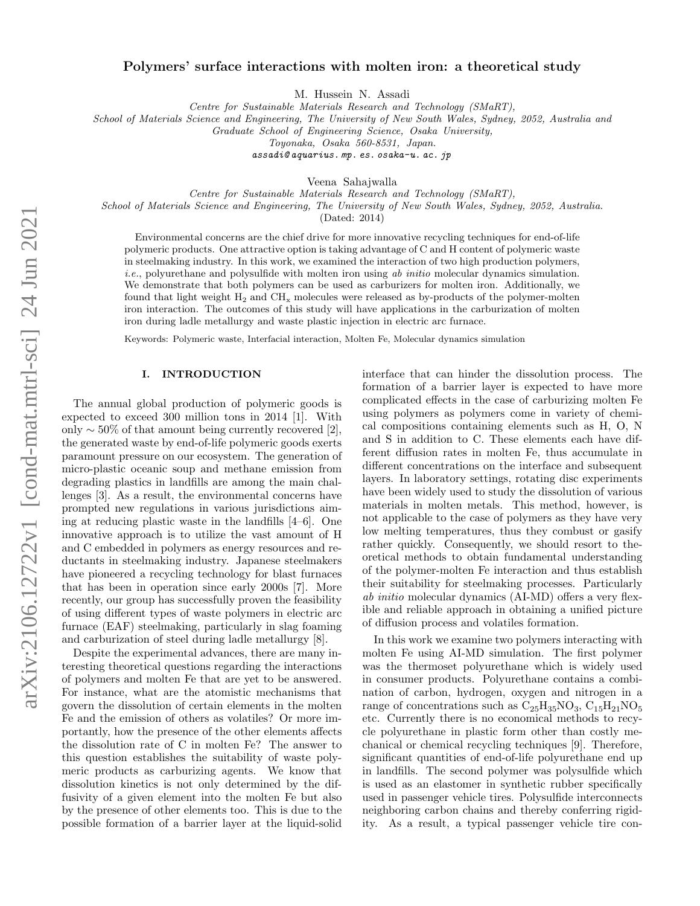# Polymers' surface interactions with molten iron: a theoretical study

M. Hussein N. Assadi

Centre for Sustainable Materials Research and Technology (SMaRT),

School of Materials Science and Engineering, The University of New South Wales, Sydney, 2052, Australia and

Graduate School of Engineering Science, Osaka University,

Toyonaka, Osaka 560-8531, Japan.

[assadi@ aquarius. mp. es. osaka-u. ac. jp](assadi@aquarius.mp.es.osaka-u.ac.jp)

Veena Sahajwalla

Centre for Sustainable Materials Research and Technology (SMaRT), School of Materials Science and Engineering, The University of New South Wales, Sydney, 2052, Australia.

(Dated: 2014)

Environmental concerns are the chief drive for more innovative recycling techniques for end-of-life polymeric products. One attractive option is taking advantage of C and H content of polymeric waste in steelmaking industry. In this work, we examined the interaction of two high production polymers,  $i.e.,$  polyurethane and polysulfide with molten iron using ab initio molecular dynamics simulation. We demonstrate that both polymers can be used as carburizers for molten iron. Additionally, we found that light weight  $H_2$  and  $CH_x$  molecules were released as by-products of the polymer-molten iron interaction. The outcomes of this study will have applications in the carburization of molten iron during ladle metallurgy and waste plastic injection in electric arc furnace.

Keywords: Polymeric waste, Interfacial interaction, Molten Fe, Molecular dynamics simulation

#### I. INTRODUCTION

The annual global production of polymeric goods is expected to exceed 300 million tons in 2014 [1]. With only  $\sim$  50% of that amount being currently recovered [2], the generated waste by end-of-life polymeric goods exerts paramount pressure on our ecosystem. The generation of micro-plastic oceanic soup and methane emission from degrading plastics in landfills are among the main challenges [3]. As a result, the environmental concerns have prompted new regulations in various jurisdictions aiming at reducing plastic waste in the landfills [4–6]. One innovative approach is to utilize the vast amount of H and C embedded in polymers as energy resources and reductants in steelmaking industry. Japanese steelmakers have pioneered a recycling technology for blast furnaces that has been in operation since early 2000s [7]. More recently, our group has successfully proven the feasibility of using different types of waste polymers in electric arc furnace (EAF) steelmaking, particularly in slag foaming and carburization of steel during ladle metallurgy [8].

Despite the experimental advances, there are many interesting theoretical questions regarding the interactions of polymers and molten Fe that are yet to be answered. For instance, what are the atomistic mechanisms that govern the dissolution of certain elements in the molten Fe and the emission of others as volatiles? Or more importantly, how the presence of the other elements affects the dissolution rate of C in molten Fe? The answer to this question establishes the suitability of waste polymeric products as carburizing agents. We know that dissolution kinetics is not only determined by the diffusivity of a given element into the molten Fe but also by the presence of other elements too. This is due to the possible formation of a barrier layer at the liquid-solid

interface that can hinder the dissolution process. The formation of a barrier layer is expected to have more complicated effects in the case of carburizing molten Fe using polymers as polymers come in variety of chemical compositions containing elements such as H, O, N and S in addition to C. These elements each have different diffusion rates in molten Fe, thus accumulate in different concentrations on the interface and subsequent layers. In laboratory settings, rotating disc experiments have been widely used to study the dissolution of various materials in molten metals. This method, however, is not applicable to the case of polymers as they have very low melting temperatures, thus they combust or gasify rather quickly. Consequently, we should resort to theoretical methods to obtain fundamental understanding of the polymer-molten Fe interaction and thus establish their suitability for steelmaking processes. Particularly ab initio molecular dynamics (AI-MD) offers a very flexible and reliable approach in obtaining a unified picture of diffusion process and volatiles formation.

In this work we examine two polymers interacting with molten Fe using AI-MD simulation. The first polymer was the thermoset polyurethane which is widely used in consumer products. Polyurethane contains a combination of carbon, hydrogen, oxygen and nitrogen in a range of concentrations such as  $C_{25}H_{35}NO_3$ ,  $C_{15}H_{21}NO_5$ etc. Currently there is no economical methods to recycle polyurethane in plastic form other than costly mechanical or chemical recycling techniques [9]. Therefore, significant quantities of end-of-life polyurethane end up in landfills. The second polymer was polysulfide which is used as an elastomer in synthetic rubber specifically used in passenger vehicle tires. Polysulfide interconnects neighboring carbon chains and thereby conferring rigidity. As a result, a typical passenger vehicle tire con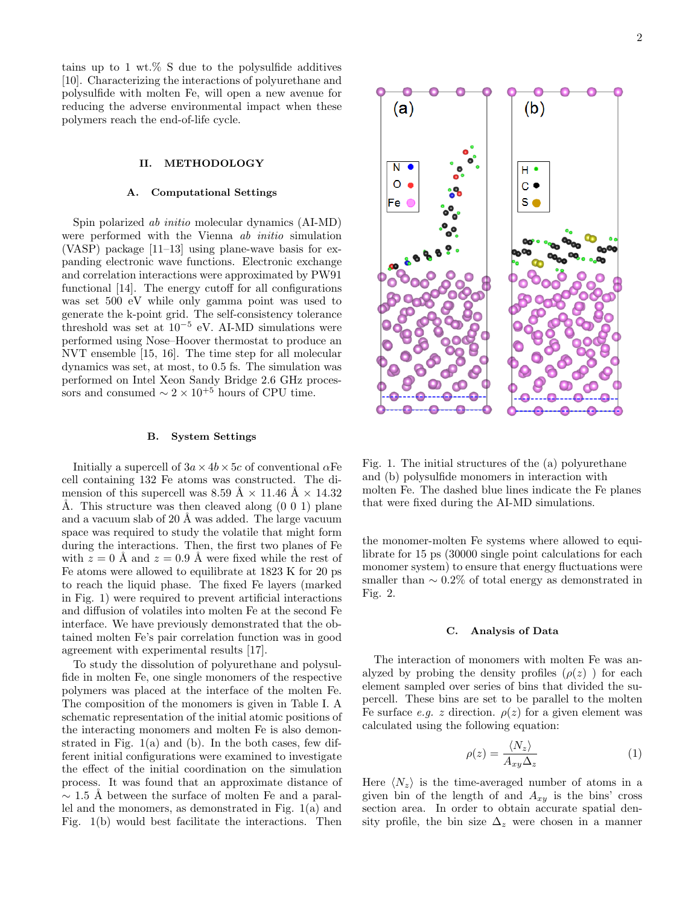tains up to 1 wt.% S due to the polysulfide additives [10]. Characterizing the interactions of polyurethane and polysulfide with molten Fe, will open a new avenue for reducing the adverse environmental impact when these polymers reach the end-of-life cycle.

#### II. METHODOLOGY

#### A. Computational Settings

Spin polarized ab initio molecular dynamics (AI-MD) were performed with the Vienna *ab initio* simulation (VASP) package [11–13] using plane-wave basis for expanding electronic wave functions. Electronic exchange and correlation interactions were approximated by PW91 functional [14]. The energy cutoff for all configurations was set 500 eV while only gamma point was used to generate the k-point grid. The self-consistency tolerance threshold was set at  $10^{-5}$  eV. AI-MD simulations were performed using Nose–Hoover thermostat to produce an NVT ensemble [15, 16]. The time step for all molecular dynamics was set, at most, to 0.5 fs. The simulation was performed on Intel Xeon Sandy Bridge 2.6 GHz processors and consumed  $\sim 2 \times 10^{+5}$  hours of CPU time.

#### B. System Settings

Initially a supercell of  $3a \times 4b \times 5c$  of conventional  $\alpha$ Fe cell containing 132 Fe atoms was constructed. The dimension of this supercell was 8.59 Å  $\times$  11.46 Å  $\times$  14.32 Å. This structure was then cleaved along  $(0\ 0\ 1)$  plane and a vacuum slab of 20 Å was added. The large vacuum space was required to study the volatile that might form during the interactions. Then, the first two planes of Fe with  $z = 0$  Å and  $z = 0.9$  Å were fixed while the rest of Fe atoms were allowed to equilibrate at 1823 K for 20 ps to reach the liquid phase. The fixed Fe layers (marked in Fig. [1\)](#page-1-0) were required to prevent artificial interactions and diffusion of volatiles into molten Fe at the second Fe interface. We have previously demonstrated that the obtained molten Fe's pair correlation function was in good agreement with experimental results [17].

To study the dissolution of polyurethane and polysulfide in molten Fe, one single monomers of the respective polymers was placed at the interface of the molten Fe. The composition of the monomers is given in Table [I.](#page-2-0) A schematic representation of the initial atomic positions of the interacting monomers and molten Fe is also demonstrated in Fig. 1(a) and (b). In the both cases, few different initial configurations were examined to investigate the effect of the initial coordination on the simulation process. It was found that an approximate distance of  $\sim$  1.5 Å between the surface of molten Fe and a parallel and the monomers, as demonstrated in Fig. [1\(](#page-1-0)a) and Fig. [1\(](#page-1-0)b) would best facilitate the interactions. Then

<span id="page-1-0"></span>

Fig. 1. The initial structures of the (a) polyurethane and (b) polysulfide monomers in interaction with molten Fe. The dashed blue lines indicate the Fe planes that were fixed during the AI-MD simulations.

the monomer-molten Fe systems where allowed to equilibrate for 15 ps (30000 single point calculations for each monomer system) to ensure that energy fluctuations were smaller than  $\sim 0.2\%$  of total energy as demonstrated in Fig. [2.](#page-2-1)

#### C. Analysis of Data

The interaction of monomers with molten Fe was analyzed by probing the density profiles  $(\rho(z))$  for each element sampled over series of bins that divided the supercell. These bins are set to be parallel to the molten Fe surface e.g. z direction.  $\rho(z)$  for a given element was calculated using the following equation:

$$
\rho(z) = \frac{\langle N_z \rangle}{A_{xy} \Delta_z} \tag{1}
$$

Here  $\langle N_z \rangle$  is the time-averaged number of atoms in a given bin of the length of and  $A_{xy}$  is the bins' cross section area. In order to obtain accurate spatial density profile, the bin size  $\Delta_z$  were chosen in a manner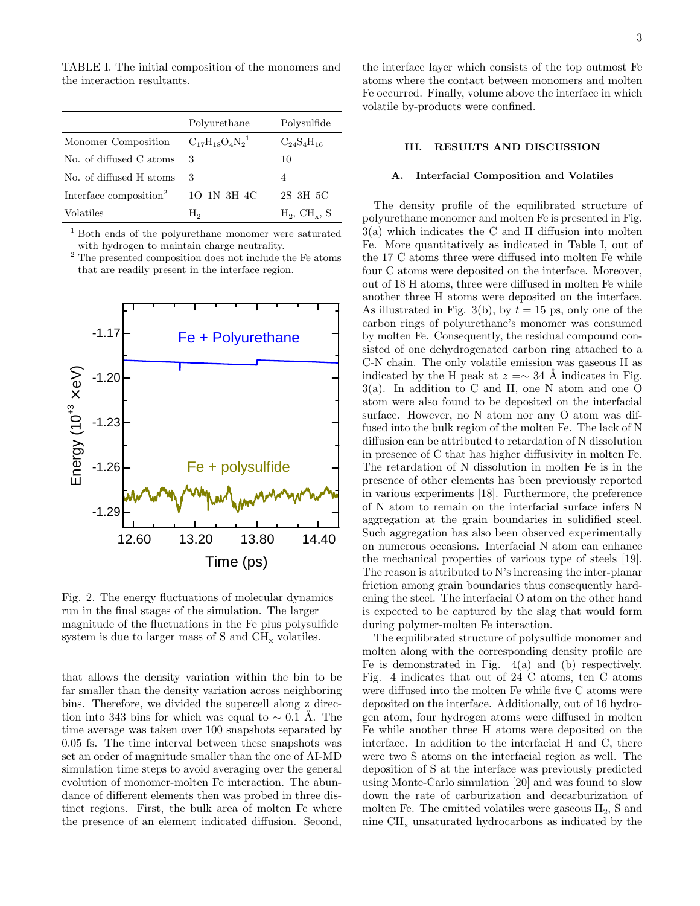TABLE I. The initial composition of the monomers and the interaction resultants.

<span id="page-2-0"></span>

|                                    | Polyurethane              | Polysulfide                 |
|------------------------------------|---------------------------|-----------------------------|
| Monomer Composition                | $C_{17}H_{18}O_4N_2^{-1}$ | $C_{24}S_{4}H_{16}$         |
| No. of diffused C atoms            | 3                         | 10                          |
| No. of diffused H atoms            | 3                         | 4                           |
| Interface composition <sup>2</sup> | $1O-1N-3H-4C$             | $2S-3H-5C$                  |
| Volatiles                          | Н,                        | $H_2$ , CH <sub>y</sub> , S |

<sup>1</sup> Both ends of the polyurethane monomer were saturated with hydrogen to maintain charge neutrality.

<sup>2</sup> The presented composition does not include the Fe atoms that are readily present in the interface region.

<span id="page-2-1"></span>

Fig. 2. The energy fluctuations of molecular dynamics run in the final stages of the simulation. The larger magnitude of the fluctuations in the Fe plus polysulfide system is due to larger mass of  $S$  and  $CH<sub>x</sub>$  volatiles.

that allows the density variation within the bin to be far smaller than the density variation across neighboring bins. Therefore, we divided the supercell along z direction into 343 bins for which was equal to  $\sim 0.1$  Å. The time average was taken over 100 snapshots separated by 0.05 fs. The time interval between these snapshots was set an order of magnitude smaller than the one of AI-MD simulation time steps to avoid averaging over the general evolution of monomer-molten Fe interaction. The abundance of different elements then was probed in three distinct regions. First, the bulk area of molten Fe where the presence of an element indicated diffusion. Second,

# III. RESULTS AND DISCUSSION

# A. Interfacial Composition and Volatiles

The density profile of the equilibrated structure of polyurethane monomer and molten Fe is presented in Fig. [3\(](#page-3-0)a) which indicates the C and H diffusion into molten Fe. More quantitatively as indicated in Table [I,](#page-2-0) out of the 17 C atoms three were diffused into molten Fe while four C atoms were deposited on the interface. Moreover, out of 18 H atoms, three were diffused in molten Fe while another three H atoms were deposited on the interface. As illustrated in Fig. [3\(](#page-3-0)b), by  $t = 15$  ps, only one of the carbon rings of polyurethane's monomer was consumed by molten Fe. Consequently, the residual compound consisted of one dehydrogenated carbon ring attached to a C-N chain. The only volatile emission was gaseous H as indicated by the H peak at  $z = ∼ 34$  Å indicates in Fig. [3\(](#page-3-0)a). In addition to C and H, one N atom and one O atom were also found to be deposited on the interfacial surface. However, no N atom nor any O atom was diffused into the bulk region of the molten Fe. The lack of N diffusion can be attributed to retardation of N dissolution in presence of C that has higher diffusivity in molten Fe. The retardation of N dissolution in molten Fe is in the presence of other elements has been previously reported in various experiments [18]. Furthermore, the preference of N atom to remain on the interfacial surface infers N aggregation at the grain boundaries in solidified steel. Such aggregation has also been observed experimentally on numerous occasions. Interfacial N atom can enhance the mechanical properties of various type of steels [19]. The reason is attributed to N's increasing the inter-planar friction among grain boundaries thus consequently hardening the steel. The interfacial O atom on the other hand is expected to be captured by the slag that would form during polymer-molten Fe interaction.

The equilibrated structure of polysulfide monomer and molten along with the corresponding density profile are Fe is demonstrated in Fig.  $4(a)$  and (b) respectively. Fig. [4](#page-4-0) indicates that out of 24 C atoms, ten C atoms were diffused into the molten Fe while five C atoms were deposited on the interface. Additionally, out of 16 hydrogen atom, four hydrogen atoms were diffused in molten Fe while another three H atoms were deposited on the interface. In addition to the interfacial H and C, there were two S atoms on the interfacial region as well. The deposition of S at the interface was previously predicted using Monte-Carlo simulation [20] and was found to slow down the rate of carburization and decarburization of molten Fe. The emitted volatiles were gaseous  $H_2$ , S and nine  $\text{CH}_x$  unsaturated hydrocarbons as indicated by the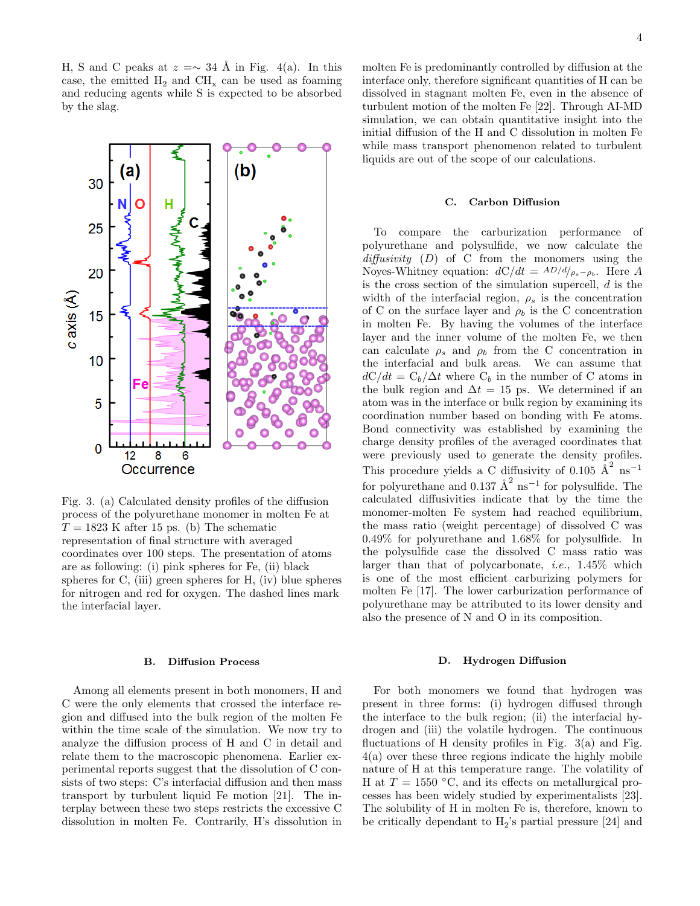H, S and C peaks at  $z = \sim 34$  Å in Fig. [4\(](#page-4-0)a). In this case, the emitted  $H_2$  and  $CH_x$  can be used as foaming and reducing agents while S is expected to be absorbed by the slag.

<span id="page-3-0"></span>

Fig. 3. (a) Calculated density profiles of the diffusion process of the polyurethane monomer in molten Fe at  $T = 1823$  K after 15 ps. (b) The schematic representation of final structure with averaged coordinates over 100 steps. The presentation of atoms are as following: (i) pink spheres for Fe, (ii) black spheres for C, (iii) green spheres for H, (iv) blue spheres for nitrogen and red for oxygen. The dashed lines mark the interfacial layer.

# B. Diffusion Process

Among all elements present in both monomers, H and C were the only elements that crossed the interface region and diffused into the bulk region of the molten Fe within the time scale of the simulation. We now try to analyze the diffusion process of H and C in detail and relate them to the macroscopic phenomena. Earlier experimental reports suggest that the dissolution of C consists of two steps: C's interfacial diffusion and then mass transport by turbulent liquid Fe motion [21]. The interplay between these two steps restricts the excessive C dissolution in molten Fe. Contrarily, H's dissolution in

molten Fe is predominantly controlled by diffusion at the interface only, therefore significant quantities of H can be dissolved in stagnant molten Fe, even in the absence of turbulent motion of the molten Fe [22]. Through AI-MD simulation, we can obtain quantitative insight into the initial diffusion of the H and C dissolution in molten Fe while mass transport phenomenon related to turbulent liquids are out of the scope of our calculations.

### C. Carbon Diffusion

To compare the carburization performance of polyurethane and polysulfide, we now calculate the  $diffusivity (D)$  of C from the monomers using the Noyes-Whitney equation:  $dC/dt = AD/d/_{\rho_s-\rho_b}$ . Here A is the cross section of the simulation supercell,  $d$  is the width of the interfacial region,  $\rho_s$  is the concentration of C on the surface layer and  $\rho_b$  is the C concentration in molten Fe. By having the volumes of the interface layer and the inner volume of the molten Fe, we then can calculate  $\rho_s$  and  $\rho_b$  from the C concentration in the interfacial and bulk areas. We can assume that  $dC/dt = C_b/\Delta t$  where  $C_b$  in the number of C atoms in the bulk region and  $\Delta t = 15$  ps. We determined if an atom was in the interface or bulk region by examining its coordination number based on bonding with Fe atoms. Bond connectivity was established by examining the charge density profiles of the averaged coordinates that were previously used to generate the density profiles. This procedure yields a C diffusivity of 0.105  $\AA^2$  ns<sup>-1</sup> for polyurethane and 0.137  $\AA^2$  ns<sup>-1</sup> for polysulfide. The calculated diffusivities indicate that by the time the monomer-molten Fe system had reached equilibrium, the mass ratio (weight percentage) of dissolved C was 0.49% for polyurethane and 1.68% for polysulfide. In the polysulfide case the dissolved C mass ratio was larger than that of polycarbonate, i.e., 1.45% which is one of the most efficient carburizing polymers for molten Fe [17]. The lower carburization performance of polyurethane may be attributed to its lower density and also the presence of N and O in its composition.

### D. Hydrogen Diffusion

For both monomers we found that hydrogen was present in three forms: (i) hydrogen diffused through the interface to the bulk region; (ii) the interfacial hydrogen and (iii) the volatile hydrogen. The continuous fluctuations of H density profiles in Fig.  $3(a)$  and Fig. [4\(](#page-4-0)a) over these three regions indicate the highly mobile nature of H at this temperature range. The volatility of H at  $T = 1550$  °C, and its effects on metallurgical processes has been widely studied by experimentalists [23]. The solubility of H in molten Fe is, therefore, known to be critically dependant to  $H_2$ 's partial pressure [24] and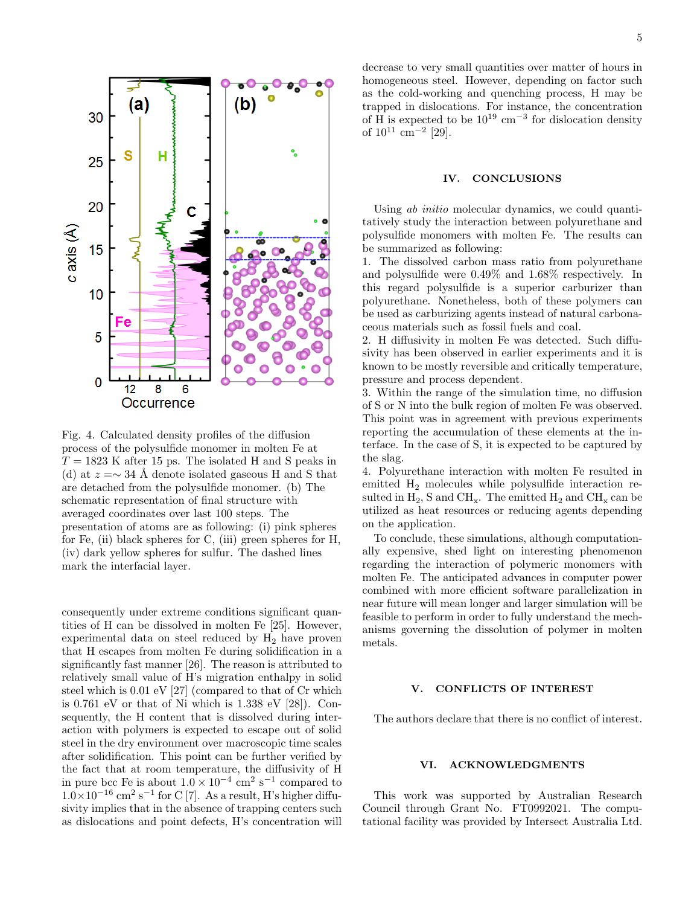<span id="page-4-0"></span>

Fig. 4. Calculated density profiles of the diffusion process of the polysulfide monomer in molten Fe at  $T = 1823$  K after 15 ps. The isolated H and S peaks in (d) at  $z = \sim 34$  Å denote isolated gaseous H and S that are detached from the polysulfide monomer. (b) The schematic representation of final structure with averaged coordinates over last 100 steps. The presentation of atoms are as following: (i) pink spheres for Fe, (ii) black spheres for C, (iii) green spheres for H, (iv) dark yellow spheres for sulfur. The dashed lines mark the interfacial layer.

consequently under extreme conditions significant quantities of H can be dissolved in molten Fe [25]. However, experimental data on steel reduced by  $H_2$  have proven that H escapes from molten Fe during solidification in a significantly fast manner [26]. The reason is attributed to relatively small value of H's migration enthalpy in solid steel which is 0.01 eV [27] (compared to that of Cr which is 0.761 eV or that of Ni which is 1.338 eV [28]). Consequently, the H content that is dissolved during interaction with polymers is expected to escape out of solid steel in the dry environment over macroscopic time scales after solidification. This point can be further verified by the fact that at room temperature, the diffusivity of H in pure bcc Fe is about  $1.0 \times 10^{-4}$  cm<sup>2</sup> s<sup>-1</sup> compared to  $1.0\times10^{-16}$  cm<sup>2</sup> s<sup>-1</sup> for C [7]. As a result, H's higher diffusivity implies that in the absence of trapping centers such as dislocations and point defects, H's concentration will

decrease to very small quantities over matter of hours in homogeneous steel. However, depending on factor such as the cold-working and quenching process, H may be trapped in dislocations. For instance, the concentration of H is expected to be  $10^{19}$  cm<sup>-3</sup> for dislocation density of  $10^{11}$  cm<sup>-2</sup> [29].

### IV. CONCLUSIONS

Using *ab initio* molecular dynamics, we could quantitatively study the interaction between polyurethane and polysulfide monomers with molten Fe. The results can be summarized as following:

1. The dissolved carbon mass ratio from polyurethane and polysulfide were 0.49% and 1.68% respectively. In this regard polysulfide is a superior carburizer than polyurethane. Nonetheless, both of these polymers can be used as carburizing agents instead of natural carbonaceous materials such as fossil fuels and coal.

2. H diffusivity in molten Fe was detected. Such diffusivity has been observed in earlier experiments and it is known to be mostly reversible and critically temperature, pressure and process dependent.

3. Within the range of the simulation time, no diffusion of S or N into the bulk region of molten Fe was observed. This point was in agreement with previous experiments reporting the accumulation of these elements at the interface. In the case of S, it is expected to be captured by the slag.

4. Polyurethane interaction with molten Fe resulted in emitted H<sup>2</sup> molecules while polysulfide interaction resulted in  $H_2$ , S and  $CH_x$ . The emitted  $H_2$  and  $CH_x$  can be utilized as heat resources or reducing agents depending on the application.

To conclude, these simulations, although computationally expensive, shed light on interesting phenomenon regarding the interaction of polymeric monomers with molten Fe. The anticipated advances in computer power combined with more efficient software parallelization in near future will mean longer and larger simulation will be feasible to perform in order to fully understand the mechanisms governing the dissolution of polymer in molten metals.

# V. CONFLICTS OF INTEREST

The authors declare that there is no conflict of interest.

## VI. ACKNOWLEDGMENTS

This work was supported by Australian Research Council through Grant No. FT0992021. The computational facility was provided by Intersect Australia Ltd.